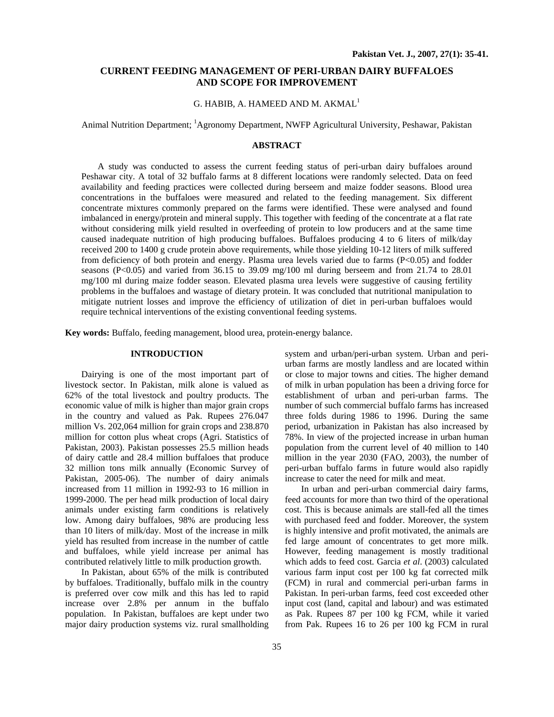## **CURRENT FEEDING MANAGEMENT OF PERI-URBAN DAIRY BUFFALOES AND SCOPE FOR IMPROVEMENT**

## G. HABIB, A. HAMEED AND M. AKMAL<sup>1</sup>

Animal Nutrition Department; <sup>1</sup>Agronomy Department, NWFP Agricultural University, Peshawar, Pakistan

### **ABSTRACT**

A study was conducted to assess the current feeding status of peri-urban dairy buffaloes around Peshawar city. A total of 32 buffalo farms at 8 different locations were randomly selected. Data on feed availability and feeding practices were collected during berseem and maize fodder seasons. Blood urea concentrations in the buffaloes were measured and related to the feeding management. Six different concentrate mixtures commonly prepared on the farms were identified. These were analysed and found imbalanced in energy/protein and mineral supply. This together with feeding of the concentrate at a flat rate without considering milk yield resulted in overfeeding of protein to low producers and at the same time caused inadequate nutrition of high producing buffaloes. Buffaloes producing 4 to 6 liters of milk/day received 200 to 1400 g crude protein above requirements, while those yielding 10-12 liters of milk suffered from deficiency of both protein and energy. Plasma urea levels varied due to farms (P<0.05) and fodder seasons (P<0.05) and varied from 36.15 to 39.09 mg/100 ml during berseem and from 21.74 to 28.01 mg/100 ml during maize fodder season. Elevated plasma urea levels were suggestive of causing fertility problems in the buffaloes and wastage of dietary protein. It was concluded that nutritional manipulation to mitigate nutrient losses and improve the efficiency of utilization of diet in peri-urban buffaloes would require technical interventions of the existing conventional feeding systems.

**Key words:** Buffalo, feeding management, blood urea, protein-energy balance.

## **INTRODUCTION**

Dairying is one of the most important part of livestock sector. In Pakistan, milk alone is valued as 62% of the total livestock and poultry products. The economic value of milk is higher than major grain crops in the country and valued as Pak. Rupees 276.047 million Vs. 202,064 million for grain crops and 238.870 million for cotton plus wheat crops (Agri. Statistics of Pakistan, 2003). Pakistan possesses 25.5 million heads of dairy cattle and 28.4 million buffaloes that produce 32 million tons milk annually (Economic Survey of Pakistan, 2005-06). The number of dairy animals increased from 11 million in 1992-93 to 16 million in 1999-2000. The per head milk production of local dairy animals under existing farm conditions is relatively low. Among dairy buffaloes, 98% are producing less than 10 liters of milk/day. Most of the increase in milk yield has resulted from increase in the number of cattle and buffaloes, while yield increase per animal has contributed relatively little to milk production growth.

In Pakistan, about 65% of the milk is contributed by buffaloes. Traditionally, buffalo milk in the country is preferred over cow milk and this has led to rapid increase over 2.8% per annum in the buffalo population. In Pakistan, buffaloes are kept under two major dairy production systems viz. rural smallholding

system and urban/peri-urban system. Urban and periurban farms are mostly landless and are located within or close to major towns and cities. The higher demand of milk in urban population has been a driving force for establishment of urban and peri-urban farms. The number of such commercial buffalo farms has increased three folds during 1986 to 1996. During the same period, urbanization in Pakistan has also increased by 78%. In view of the projected increase in urban human population from the current level of 40 million to 140 million in the year 2030 (FAO, 2003), the number of peri-urban buffalo farms in future would also rapidly increase to cater the need for milk and meat.

In urban and peri-urban commercial dairy farms, feed accounts for more than two third of the operational cost. This is because animals are stall-fed all the times with purchased feed and fodder. Moreover, the system is highly intensive and profit motivated, the animals are fed large amount of concentrates to get more milk. However, feeding management is mostly traditional which adds to feed cost. Garcia *et al*. (2003) calculated various farm input cost per 100 kg fat corrected milk (FCM) in rural and commercial peri-urban farms in Pakistan. In peri-urban farms, feed cost exceeded other input cost (land, capital and labour) and was estimated as Pak. Rupees 87 per 100 kg FCM, while it varied from Pak. Rupees 16 to 26 per 100 kg FCM in rural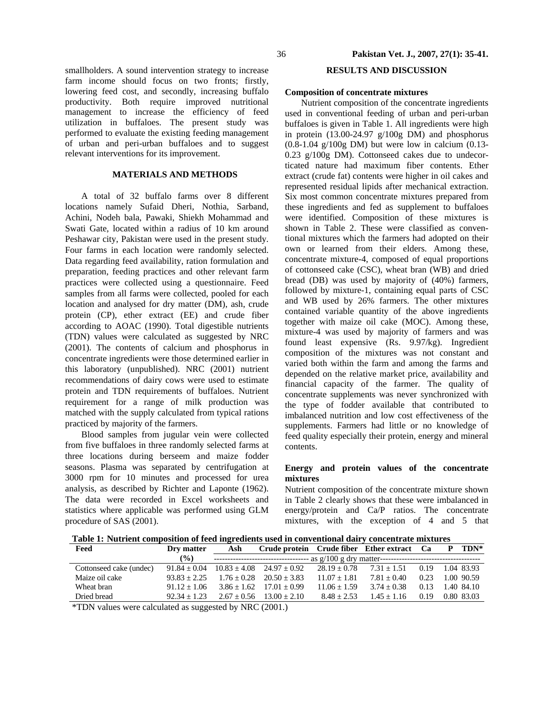smallholders. A sound intervention strategy to increase farm income should focus on two fronts; firstly, lowering feed cost, and secondly, increasing buffalo productivity. Both require improved nutritional management to increase the efficiency of feed utilization in buffaloes. The present study was performed to evaluate the existing feeding management of urban and peri-urban buffaloes and to suggest relevant interventions for its improvement.

## **MATERIALS AND METHODS**

A total of 32 buffalo farms over 8 different locations namely Sufaid Dheri, Nothia, Sarband, Achini, Nodeh bala, Pawaki, Shiekh Mohammad and Swati Gate, located within a radius of 10 km around Peshawar city, Pakistan were used in the present study. Four farms in each location were randomly selected. Data regarding feed availability, ration formulation and preparation, feeding practices and other relevant farm practices were collected using a questionnaire. Feed samples from all farms were collected, pooled for each location and analysed for dry matter (DM), ash, crude protein (CP), ether extract (EE) and crude fiber according to AOAC (1990). Total digestible nutrients (TDN) values were calculated as suggested by NRC (2001). The contents of calcium and phosphorus in concentrate ingredients were those determined earlier in this laboratory (unpublished). NRC (2001) nutrient recommendations of dairy cows were used to estimate protein and TDN requirements of buffaloes. Nutrient requirement for a range of milk production was matched with the supply calculated from typical rations practiced by majority of the farmers.

Blood samples from jugular vein were collected from five buffaloes in three randomly selected farms at three locations during berseem and maize fodder seasons. Plasma was separated by centrifugation at 3000 rpm for 10 minutes and processed for urea analysis, as described by Richter and Laponte (1962). The data were recorded in Excel worksheets and statistics where applicable was performed using GLM procedure of SAS (2001).

# **RESULTS AND DISCUSSION**

### **Composition of concentrate mixtures**

Nutrient composition of the concentrate ingredients used in conventional feeding of urban and peri-urban buffaloes is given in Table 1. All ingredients were high in protein (13.00-24.97 g/100g DM) and phosphorus (0.8-1.04 g/100g DM) but were low in calcium (0.13- 0.23 g/100g DM). Cottonseed cakes due to undecorticated nature had maximum fiber contents. Ether extract (crude fat) contents were higher in oil cakes and represented residual lipids after mechanical extraction. Six most common concentrate mixtures prepared from these ingredients and fed as supplement to buffaloes were identified. Composition of these mixtures is shown in Table 2. These were classified as conventional mixtures which the farmers had adopted on their own or learned from their elders. Among these, concentrate mixture-4, composed of equal proportions of cottonseed cake (CSC), wheat bran (WB) and dried bread (DB) was used by majority of (40%) farmers, followed by mixture-1, containing equal parts of CSC and WB used by 26% farmers. The other mixtures contained variable quantity of the above ingredients together with maize oil cake (MOC). Among these, mixture-4 was used by majority of farmers and was found least expensive (Rs. 9.97/kg). Ingredient composition of the mixtures was not constant and varied both within the farm and among the farms and depended on the relative market price, availability and financial capacity of the farmer. The quality of concentrate supplements was never synchronized with the type of fodder available that contributed to imbalanced nutrition and low cost effectiveness of the supplements. Farmers had little or no knowledge of feed quality especially their protein, energy and mineral contents.

## **Energy and protein values of the concentrate mixtures**

Nutrient composition of the concentrate mixture shown in Table 2 clearly shows that these were imbalanced in energy/protein and Ca/P ratios. The concentrate mixtures, with the exception of 4 and 5 that

**Table 1: Nutrient composition of feed ingredients used in conventional dairy concentrate mixtures** 

| Feed                                                     | Dry matter     | Ash           | Crude protein Crude fiber Ether extract Ca |                |               |      |  | TDN*       |  |  |  |
|----------------------------------------------------------|----------------|---------------|--------------------------------------------|----------------|---------------|------|--|------------|--|--|--|
|                                                          | $($ %)         |               | ---------------------------------          |                |               |      |  |            |  |  |  |
| Cottonseed cake (undec)                                  | $91.84 + 0.04$ |               | $10.83 \pm 4.08$ $24.97 \pm 0.92$          | $28.19 + 0.78$ | $7.31 + 1.51$ | 0.19 |  | 1.04 83.93 |  |  |  |
| Maize oil cake                                           | $93.83 + 2.25$ | $1.76 + 0.28$ | $20.50 + 3.83$                             | $11.07 + 1.81$ | $7.81 + 0.40$ | 0.23 |  | 1.00 90.59 |  |  |  |
| Wheat bran                                               | $91.12 + 1.06$ | $3.86 + 1.62$ | $17.01 + 0.99$                             | $11.06 + 1.59$ | $3.74 + 0.38$ | 0.13 |  | 1.40 84.10 |  |  |  |
| Dried bread                                              | $92.34 + 1.23$ | $2.67 + 0.56$ | $13.00 + 2.10$                             | $8.48 + 2.53$  | $1.45 + 1.16$ | 0.19 |  | 0.80 83.03 |  |  |  |
| $*TDN$ values were calculated as suggested by NRC (2001) |                |               |                                            |                |               |      |  |            |  |  |  |

TDN values were calculated as suggested by NRC (2001.)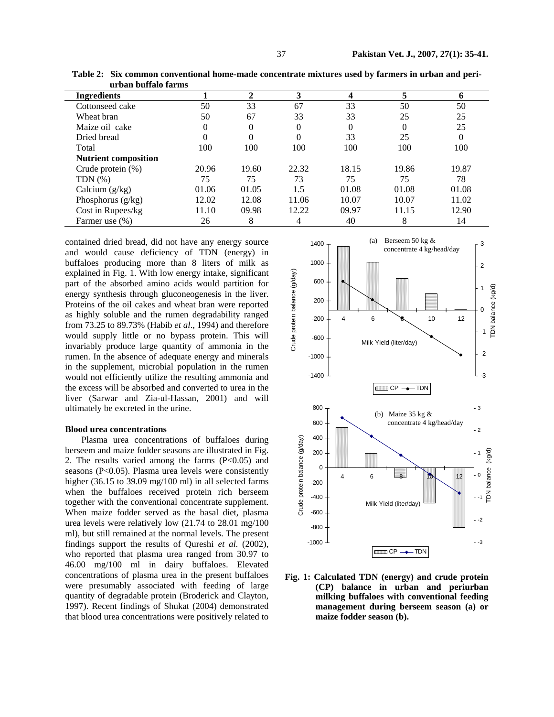| <b>Ingredients</b>          |          | $\mathbf 2$ | 3     | 4     |          | 6        |
|-----------------------------|----------|-------------|-------|-------|----------|----------|
| Cottonseed cake             | 50       | 33          | 67    | 33    | 50       | 50       |
| Wheat bran                  | 50       | 67          | 33    | 33    | 25       | 25       |
| Maize oil cake              | 0        | $\theta$    | 0     | 0     | $\Omega$ | 25       |
| Dried bread                 | $\theta$ | $\theta$    | 0     | 33    | 25       | $\theta$ |
| Total                       | 100      | 100         | 100   | 100   | 100      | 100      |
| <b>Nutrient composition</b> |          |             |       |       |          |          |
| Crude protein $(\%)$        | 20.96    | 19.60       | 22.32 | 18.15 | 19.86    | 19.87    |
| TDN $(\%)$                  | 75       | 75          | 73    | 75    | 75       | 78       |
| Calcium $(g/kg)$            | 01.06    | 01.05       | 1.5   | 01.08 | 01.08    | 01.08    |
| Phosphorus $(g/kg)$         | 12.02    | 12.08       | 11.06 | 10.07 | 10.07    | 11.02    |
| Cost in Rupees/kg           | 11.10    | 09.98       | 12.22 | 09.97 | 11.15    | 12.90    |
| Farmer use (%)              | 26       | 8           |       | 40    | 8        | 14       |

**Table 2: Six common conventional home-made concentrate mixtures used by farmers in urban and periurban buffalo farms** 

contained dried bread, did not have any energy source and would cause deficiency of TDN (energy) in buffaloes producing more than 8 liters of milk as explained in Fig. 1. With low energy intake, significant part of the absorbed amino acids would partition for energy synthesis through gluconeogenesis in the liver. Proteins of the oil cakes and wheat bran were reported as highly soluble and the rumen degradability ranged from 73.25 to 89.73% (Habib *et al*., 1994) and therefore would supply little or no bypass protein. This will invariably produce large quantity of ammonia in the rumen. In the absence of adequate energy and minerals in the supplement, microbial population in the rumen would not efficiently utilize the resulting ammonia and the excess will be absorbed and converted to urea in the liver (Sarwar and Zia-ul-Hassan, 2001) and will ultimately be excreted in the urine.

#### **Blood urea concentrations**

Plasma urea concentrations of buffaloes during berseem and maize fodder seasons are illustrated in Fig. 2. The results varied among the farms  $(P<0.05)$  and seasons (P<0.05). Plasma urea levels were consistently higher (36.15 to 39.09 mg/100 ml) in all selected farms when the buffaloes received protein rich berseem together with the conventional concentrate supplement. When maize fodder served as the basal diet, plasma urea levels were relatively low (21.74 to 28.01 mg/100 ml), but still remained at the normal levels. The present findings support the results of Qureshi *et al*. (2002), who reported that plasma urea ranged from 30.97 to 46.00 mg/100 ml in dairy buffaloes. Elevated concentrations of plasma urea in the present buffaloes were presumably associated with feeding of large quantity of degradable protein (Broderick and Clayton, 1997). Recent findings of Shukat (2004) demonstrated that blood urea concentrations were positively related to



**Fig. 1: Calculated TDN (energy) and crude protein (CP) balance in urban and periurban milking buffaloes with conventional feeding management during berseem season (a) or maize fodder season (b).**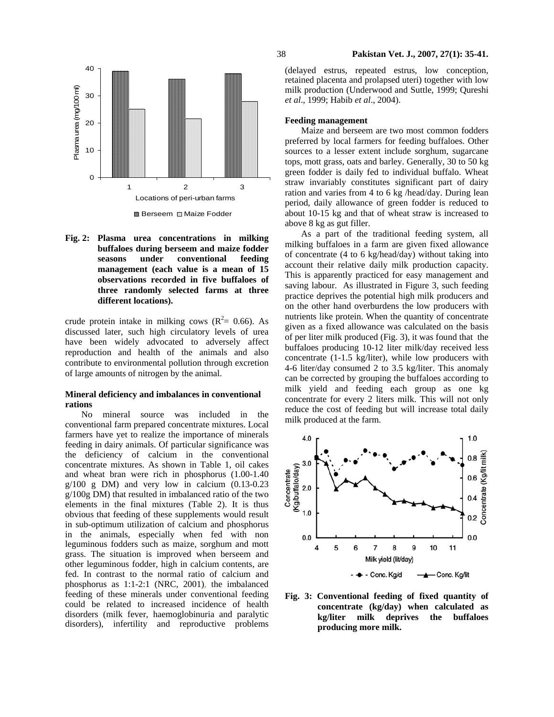

Berseem **II** Maize Fodder

**Fig. 2: Plasma urea concentrations in milking buffaloes during berseem and maize fodder seasons under conventional feeding management (each value is a mean of 15 observations recorded in five buffaloes of three randomly selected farms at three different locations).** 

crude protein intake in milking cows ( $\mathbb{R}^2 = 0.66$ ). As discussed later, such high circulatory levels of urea have been widely advocated to adversely affect reproduction and health of the animals and also contribute to environmental pollution through excretion of large amounts of nitrogen by the animal.

### **Mineral deficiency and imbalances in conventional rations**

No mineral source was included in the conventional farm prepared concentrate mixtures. Local farmers have yet to realize the importance of minerals feeding in dairy animals. Of particular significance was the deficiency of calcium in the conventional concentrate mixtures. As shown in Table 1, oil cakes and wheat bran were rich in phosphorus (1.00-1.40  $g/100$  g DM) and very low in calcium  $(0.13-0.23)$ g/100g DM) that resulted in imbalanced ratio of the two elements in the final mixtures (Table 2). It is thus obvious that feeding of these supplements would result in sub-optimum utilization of calcium and phosphorus in the animals, especially when fed with non leguminous fodders such as maize, sorghum and mott grass. The situation is improved when berseem and other leguminous fodder, high in calcium contents, are fed. In contrast to the normal ratio of calcium and phosphorus as 1:1-2:1 (NRC, 2001), the imbalanced feeding of these minerals under conventional feeding could be related to increased incidence of health disorders (milk fever, haemoglobinuria and paralytic disorders), infertility and reproductive problems

38 **Pakistan Vet. J., 2007, 27(1): 35-41.**

(delayed estrus, repeated estrus, low conception, retained placenta and prolapsed uteri) together with low milk production (Underwood and Suttle, 1999; Qureshi *et al*., 1999; Habib *et al*., 2004).

### **Feeding management**

Maize and berseem are two most common fodders preferred by local farmers for feeding buffaloes. Other sources to a lesser extent include sorghum, sugarcane tops, mott grass, oats and barley. Generally, 30 to 50 kg green fodder is daily fed to individual buffalo. Wheat straw invariably constitutes significant part of dairy ration and varies from 4 to 6 kg /head/day. During lean period, daily allowance of green fodder is reduced to about 10-15 kg and that of wheat straw is increased to above 8 kg as gut filler.

As a part of the traditional feeding system, all milking buffaloes in a farm are given fixed allowance of concentrate (4 to 6 kg/head/day) without taking into account their relative daily milk production capacity. This is apparently practiced for easy management and saving labour. As illustrated in Figure 3, such feeding practice deprives the potential high milk producers and on the other hand overburdens the low producers with nutrients like protein. When the quantity of concentrate given as a fixed allowance was calculated on the basis of per liter milk produced (Fig. 3), it was found that the buffaloes producing 10-12 liter milk/day received less concentrate (1-1.5 kg/liter), while low producers with 4-6 liter/day consumed 2 to 3.5 kg/liter. This anomaly can be corrected by grouping the buffaloes according to milk yield and feeding each group as one kg concentrate for every 2 liters milk. This will not only reduce the cost of feeding but will increase total daily milk produced at the farm.



**Fig. 3: Conventional feeding of fixed quantity of concentrate (kg/day) when calculated as kg/liter milk deprives the buffaloes producing more milk.**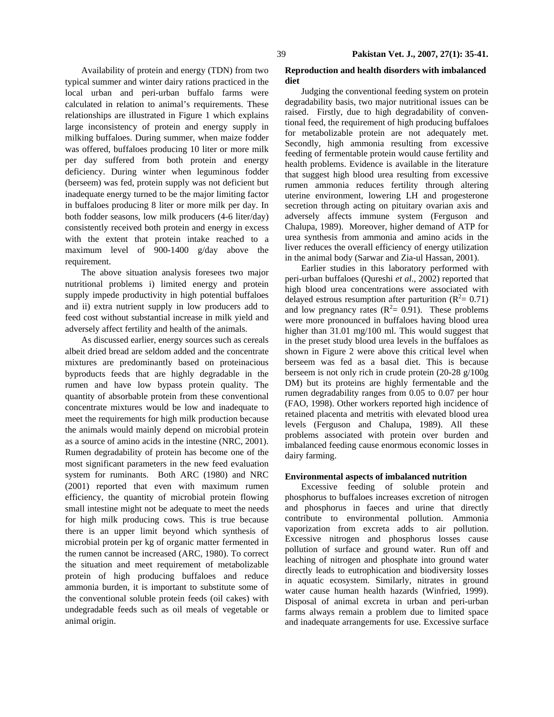Availability of protein and energy (TDN) from two typical summer and winter dairy rations practiced in the local urban and peri-urban buffalo farms were calculated in relation to animal's requirements. These relationships are illustrated in Figure 1 which explains large inconsistency of protein and energy supply in milking buffaloes. During summer, when maize fodder was offered, buffaloes producing 10 liter or more milk per day suffered from both protein and energy deficiency. During winter when leguminous fodder (berseem) was fed, protein supply was not deficient but inadequate energy turned to be the major limiting factor in buffaloes producing 8 liter or more milk per day. In both fodder seasons, low milk producers (4-6 liter/day) consistently received both protein and energy in excess with the extent that protein intake reached to a maximum level of 900-1400 g/day above the requirement.

The above situation analysis foresees two major nutritional problems i) limited energy and protein supply impede productivity in high potential buffaloes and ii) extra nutrient supply in low producers add to feed cost without substantial increase in milk yield and adversely affect fertility and health of the animals.

As discussed earlier, energy sources such as cereals albeit dried bread are seldom added and the concentrate mixtures are predominantly based on proteinacious byproducts feeds that are highly degradable in the rumen and have low bypass protein quality. The quantity of absorbable protein from these conventional concentrate mixtures would be low and inadequate to meet the requirements for high milk production because the animals would mainly depend on microbial protein as a source of amino acids in the intestine (NRC, 2001). Rumen degradability of protein has become one of the most significant parameters in the new feed evaluation system for ruminants. Both ARC (1980) and NRC (2001) reported that even with maximum rumen efficiency, the quantity of microbial protein flowing small intestine might not be adequate to meet the needs for high milk producing cows. This is true because there is an upper limit beyond which synthesis of microbial protein per kg of organic matter fermented in the rumen cannot be increased (ARC, 1980). To correct the situation and meet requirement of metabolizable protein of high producing buffaloes and reduce ammonia burden, it is important to substitute some of the conventional soluble protein feeds (oil cakes) with undegradable feeds such as oil meals of vegetable or animal origin.

## **Reproduction and health disorders with imbalanced diet**

Judging the conventional feeding system on protein degradability basis, two major nutritional issues can be raised. Firstly, due to high degradability of conventional feed, the requirement of high producing buffaloes for metabolizable protein are not adequately met. Secondly, high ammonia resulting from excessive feeding of fermentable protein would cause fertility and health problems. Evidence is available in the literature that suggest high blood urea resulting from excessive rumen ammonia reduces fertility through altering uterine environment, lowering LH and progesterone secretion through acting on pituitary ovarian axis and adversely affects immune system (Ferguson and Chalupa, 1989). Moreover, higher demand of ATP for urea synthesis from ammonia and amino acids in the liver reduces the overall efficiency of energy utilization in the animal body (Sarwar and Zia-ul Hassan, 2001).

Earlier studies in this laboratory performed with peri-urban buffaloes (Qureshi *et al*., 2002) reported that high blood urea concentrations were associated with delayed estrous resumption after parturition ( $R^2 = 0.71$ ) and low pregnancy rates  $(R^2 = 0.91)$ . These problems were more pronounced in buffaloes having blood urea higher than 31.01 mg/100 ml. This would suggest that in the preset study blood urea levels in the buffaloes as shown in Figure 2 were above this critical level when berseem was fed as a basal diet. This is because berseem is not only rich in crude protein (20-28 g/100g DM) but its proteins are highly fermentable and the rumen degradability ranges from 0.05 to 0.07 per hour (FAO, 1998). Other workers reported high incidence of retained placenta and metritis with elevated blood urea levels (Ferguson and Chalupa, 1989). All these problems associated with protein over burden and imbalanced feeding cause enormous economic losses in dairy farming.

## **Environmental aspects of imbalanced nutrition**

Excessive feeding of soluble protein and phosphorus to buffaloes increases excretion of nitrogen and phosphorus in faeces and urine that directly contribute to environmental pollution. Ammonia vaporization from excreta adds to air pollution. Excessive nitrogen and phosphorus losses cause pollution of surface and ground water. Run off and leaching of nitrogen and phosphate into ground water directly leads to eutrophication and biodiversity losses in aquatic ecosystem. Similarly, nitrates in ground water cause human health hazards (Winfried, 1999). Disposal of animal excreta in urban and peri-urban farms always remain a problem due to limited space and inadequate arrangements for use. Excessive surface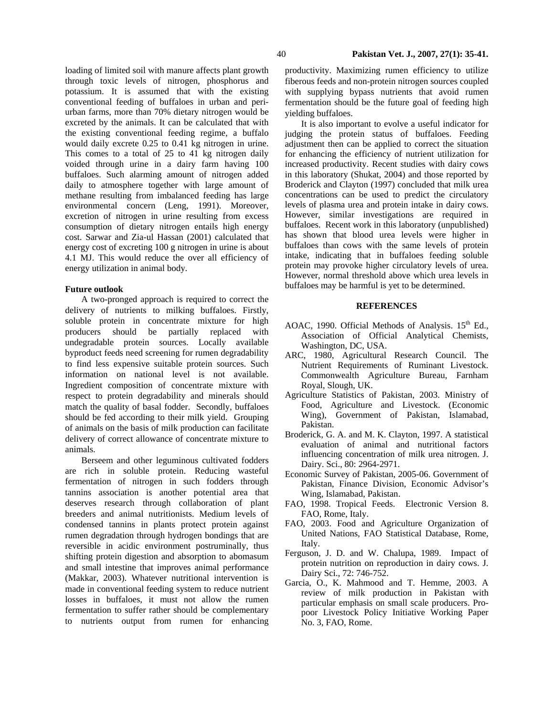loading of limited soil with manure affects plant growth through toxic levels of nitrogen, phosphorus and potassium. It is assumed that with the existing conventional feeding of buffaloes in urban and periurban farms, more than 70% dietary nitrogen would be excreted by the animals. It can be calculated that with the existing conventional feeding regime, a buffalo would daily excrete 0.25 to 0.41 kg nitrogen in urine. This comes to a total of 25 to 41 kg nitrogen daily voided through urine in a dairy farm having 100 buffaloes. Such alarming amount of nitrogen added daily to atmosphere together with large amount of methane resulting from imbalanced feeding has large environmental concern (Leng, 1991). Moreover, excretion of nitrogen in urine resulting from excess consumption of dietary nitrogen entails high energy cost. Sarwar and Zia-ul Hassan (2001) calculated that energy cost of excreting 100 g nitrogen in urine is about 4.1 MJ. This would reduce the over all efficiency of energy utilization in animal body.

### **Future outlook**

A two-pronged approach is required to correct the delivery of nutrients to milking buffaloes. Firstly, soluble protein in concentrate mixture for high producers should be partially replaced with undegradable protein sources. Locally available byproduct feeds need screening for rumen degradability to find less expensive suitable protein sources. Such information on national level is not available. Ingredient composition of concentrate mixture with respect to protein degradability and minerals should match the quality of basal fodder. Secondly, buffaloes should be fed according to their milk yield. Grouping of animals on the basis of milk production can facilitate delivery of correct allowance of concentrate mixture to animals.

Berseem and other leguminous cultivated fodders are rich in soluble protein. Reducing wasteful fermentation of nitrogen in such fodders through tannins association is another potential area that deserves research through collaboration of plant breeders and animal nutritionists. Medium levels of condensed tannins in plants protect protein against rumen degradation through hydrogen bondings that are reversible in acidic environment postruminally, thus shifting protein digestion and absorption to abomasum and small intestine that improves animal performance (Makkar, 2003). Whatever nutritional intervention is made in conventional feeding system to reduce nutrient losses in buffaloes, it must not allow the rumen fermentation to suffer rather should be complementary to nutrients output from rumen for enhancing productivity. Maximizing rumen efficiency to utilize fiberous feeds and non-protein nitrogen sources coupled with supplying bypass nutrients that avoid rumen fermentation should be the future goal of feeding high yielding buffaloes.

It is also important to evolve a useful indicator for judging the protein status of buffaloes. Feeding adjustment then can be applied to correct the situation for enhancing the efficiency of nutrient utilization for increased productivity. Recent studies with dairy cows in this laboratory (Shukat, 2004) and those reported by Broderick and Clayton (1997) concluded that milk urea concentrations can be used to predict the circulatory levels of plasma urea and protein intake in dairy cows. However, similar investigations are required in buffaloes. Recent work in this laboratory (unpublished) has shown that blood urea levels were higher in buffaloes than cows with the same levels of protein intake, indicating that in buffaloes feeding soluble protein may provoke higher circulatory levels of urea. However, normal threshold above which urea levels in buffaloes may be harmful is yet to be determined.

### **REFERENCES**

- AOAC, 1990. Official Methods of Analysis. 15<sup>th</sup> Ed., Association of Official Analytical Chemists, Washington, DC, USA.
- ARC, 1980, Agricultural Research Council. The Nutrient Requirements of Ruminant Livestock. Commonwealth Agriculture Bureau, Farnham Royal, Slough, UK.
- Agriculture Statistics of Pakistan, 2003. Ministry of Food, Agriculture and Livestock. (Economic Wing), Government of Pakistan, Islamabad, Pakistan.
- Broderick, G. A. and M. K. Clayton, 1997. A statistical evaluation of animal and nutritional factors influencing concentration of milk urea nitrogen. J. Dairy. Sci., 80: 2964-2971.
- Economic Survey of Pakistan, 2005-06. Government of Pakistan, Finance Division, Economic Advisor's Wing, Islamabad, Pakistan.
- FAO, 1998. Tropical Feeds. Electronic Version 8. FAO, Rome, Italy.
- FAO, 2003. Food and Agriculture Organization of United Nations, FAO Statistical Database, Rome, Italy.
- Ferguson, J. D. and W. Chalupa, 1989. Impact of protein nutrition on reproduction in dairy cows. J. Dairy Sci., 72: 746-752.
- Garcia, O., K. Mahmood and T. Hemme, 2003. A review of milk production in Pakistan with particular emphasis on small scale producers. Propoor Livestock Policy Initiative Working Paper No. 3, FAO, Rome.